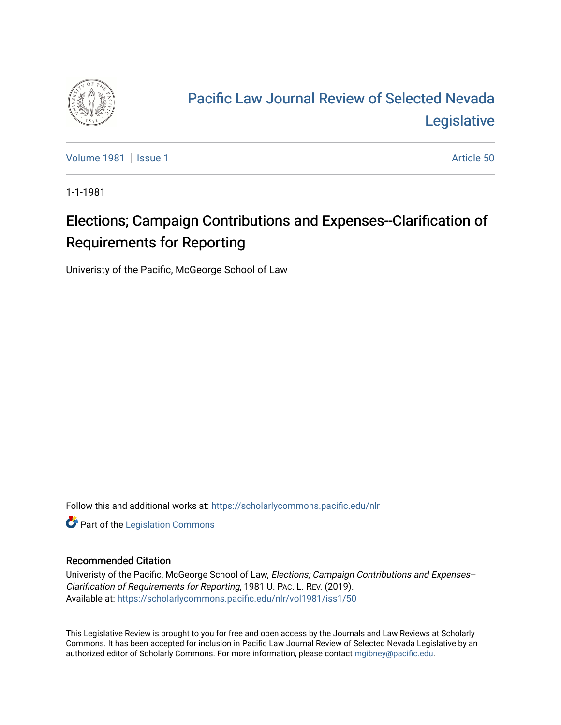

# [Pacific Law Journal Review of Selected Nevada](https://scholarlycommons.pacific.edu/nlr)  **Legislative**

[Volume 1981](https://scholarlycommons.pacific.edu/nlr/vol1981) | [Issue 1](https://scholarlycommons.pacific.edu/nlr/vol1981/iss1) Article 50

1-1-1981

## Elections; Campaign Contributions and Expenses--Clarification of Requirements for Reporting

Univeristy of the Pacific, McGeorge School of Law

Follow this and additional works at: [https://scholarlycommons.pacific.edu/nlr](https://scholarlycommons.pacific.edu/nlr?utm_source=scholarlycommons.pacific.edu%2Fnlr%2Fvol1981%2Fiss1%2F50&utm_medium=PDF&utm_campaign=PDFCoverPages) 

**Part of the [Legislation Commons](http://network.bepress.com/hgg/discipline/859?utm_source=scholarlycommons.pacific.edu%2Fnlr%2Fvol1981%2Fiss1%2F50&utm_medium=PDF&utm_campaign=PDFCoverPages)** 

### Recommended Citation

Univeristy of the Pacific, McGeorge School of Law, Elections; Campaign Contributions and Expenses-- Clarification of Requirements for Reporting, 1981 U. PAC. L. REV. (2019). Available at: [https://scholarlycommons.pacific.edu/nlr/vol1981/iss1/50](https://scholarlycommons.pacific.edu/nlr/vol1981/iss1/50?utm_source=scholarlycommons.pacific.edu%2Fnlr%2Fvol1981%2Fiss1%2F50&utm_medium=PDF&utm_campaign=PDFCoverPages)

This Legislative Review is brought to you for free and open access by the Journals and Law Reviews at Scholarly Commons. It has been accepted for inclusion in Pacific Law Journal Review of Selected Nevada Legislative by an authorized editor of Scholarly Commons. For more information, please contact [mgibney@pacific.edu](mailto:mgibney@pacific.edu).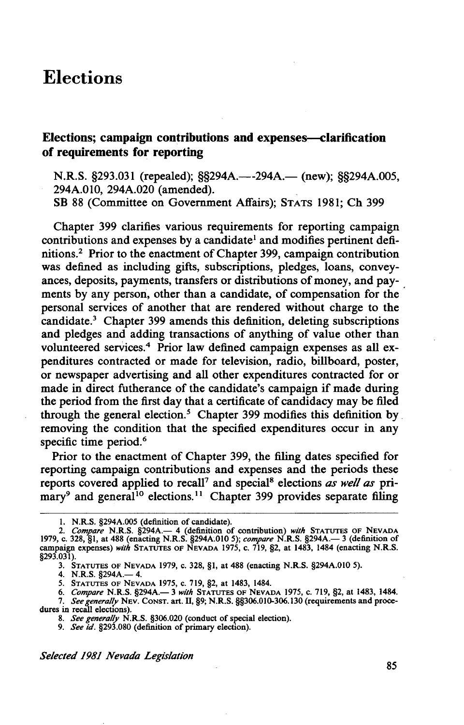## **Elections**

#### **Elections; campaign contributions and expenses--clarification of requirements for reporting**

N.R.S. §293.031 (repealed); §§294A.—-294A.— (new); §§294A.005, 294A.OIO, 294A.020 (amended).

SB 88 (Committee on Government Affairs); STATS 1981; Ch 399

Chapter 399 clarifies various requirements for reporting campaign contributions and expenses by a candidate<sup>1</sup> and modifies pertinent definitions? Prior to the enactment of Chapter 399, campaign contribution was defined as including gifts, subscriptions, pledges, loans, conveyances, deposits, payments, transfers or distributions of money, and payments by any person, other than a candidate, of compensation for the personal services of another that are rendered without charge to the candidate.<sup>3</sup> Chapter 399 amends this definition, deleting subscriptions and pledges and adding transactions of anything of value other than volunteered services.4 Prior law defined campaign expenses as all expenditures contracted or made for television, radio, billboard, poster, or newspaper advertising and all other expenditures contracted for or made in direct futherance of the candidate's campaign if made during the period from the first day that a certificate of candidacy may be filed through the general election.<sup>5</sup> Chapter 399 modifies this definition by. removing the condition that the specified expenditures occur in any specific time period.<sup>6</sup>

Prior to the enactment of Chapter 399, the filing dates specified for reporting campaign contributions and expenses and the periods these reports covered applied to recall7 and special8 elections *as well as* primary<sup>9</sup> and general<sup>10</sup> elections.<sup>11</sup> Chapter 399 provides separate filing

4. N.R.S. §294A.— 4.

*Selected 1981 Nevada Legislation* 

<sup>1.</sup> N.R.S. §294A.005 (definition of candidate).

<sup>2.</sup> *Compare* N.R.S. §294A.— 4 (definition of contribution) *with* **STATUTES OF NEVADA 1979, c. 328, §1**, at 488 (enacting N.R.S. §294A.010 5); *compare* N.R.S. §294A.— 3 (definition of campaign expenses) *with* STATUTES OF NEVADA 1975, c. 719, §2, at 1483, 1484 (enacting N.R.S. §293.031).

<sup>3.</sup> STATUTES OF NEVADA 1979, c. 328, §1, at 488 (enacting N.R.S. §294A.010 5).

*<sup>5.</sup>* STATUTES OF NEVADA 1975, C. 719, §2, at 1483, 1484.

<sup>6.</sup> *Compare* N.R.S. §294A.- 3 *with* STATUTES OF NEVADA 1975, c. 719, §2, at 1483, 1484.

<sup>7.</sup> *See generai(Y* NEV. CONST. art. II, §9; N.R.S. §§306.010-306.130 (requirements and proce-dures in recall elections).

<sup>8.</sup> *See generally* N.R.S. §306.020 (conduct of special election).

<sup>9.</sup> *See id.* §293.080 (definition of primary election).